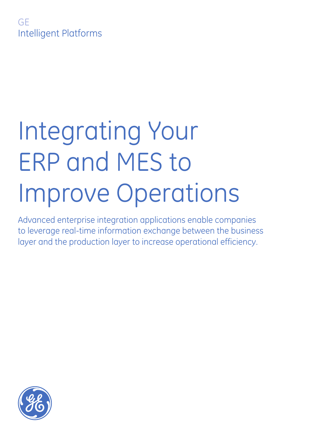

Advanced enterprise integration applications enable companies to leverage real-time information exchange between the business layer and the production layer to increase operational efficiency.

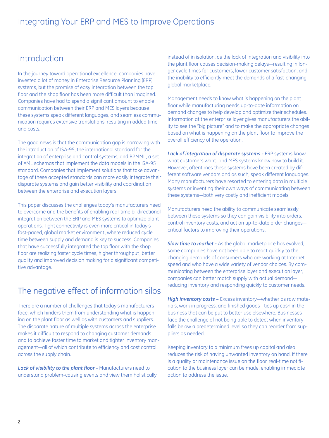# Introduction

In the journey toward operational excellence, companies have invested a lot of money in Enterprise Resource Planning (ERP) systems, but the promise of easy integration between the top floor and the shop floor has been more difficult than imagined. Companies have had to spend a significant amount to enable communication between their ERP and MES layers because these systems speak different languages, and seamless communication requires extensive translations, resulting in added time and costs.

The good news is that the communication gap is narrowing with the introduction of ISA-95, the international standard for the integration of enterprise and control systems, and B2MML, a set of XML schemas that implement the data models in the ISA-95 standard. Companies that implement solutions that take advantage of these accepted standards can more easily integrate their disparate systems and gain better visibility and coordination between the enterprise and execution layers.

This paper discusses the challenges today's manufacturers need to overcome and the benefits of enabling real-time bi-directional integration between the ERP and MES systems to optimize plant operations. Tight connectivity is even more critical in today's fast-paced, global market environment, where reduced cycle time between supply and demand is key to success. Companies that have successfully integrated the top floor with the shop floor are realizing faster cycle times, higher throughput, better quality and improved decision making for a significant competitive advantage.

# The negative effect of information silos

There are a number of challenges that today's manufacturers face, which hinders them from understanding what is happening on the plant floor as well as with customers and suppliers. The disparate nature of multiple systems across the enterprise makes it difficult to respond to changing customer demands and to achieve faster time to market and tighter inventory management—all of which contribute to efficiency and cost control across the supply chain.

*Lack of visibility to the plant floor -* Manufacturers need to understand problem-causing events and view them holistically

instead of in isolation, as the lack of integration and visibility into the plant floor causes decision-making delays—resulting in longer cycle times for customers, lower customer satisfaction, and the inability to efficiently meet the demands of a fast-changing global marketplace.

Management needs to know what is happening on the plant floor while manufacturing needs up-to-date information on demand changes to help develop and optimize their schedules. Information at the enterprise layer gives manufacturers the ability to see the "big picture" and to make the appropriate changes based on what is happening on the plant floor to improve the overall efficiency of the operation.

*Lack of integration of disparate systems -* ERP systems know what customers want, and MES systems know how to build it. However, oftentimes these systems have been created by different software vendors and as such, speak different languages. Many manufacturers have resorted to entering data in multiple systems or inventing their own ways of communicating between these systems—both very costly and inefficient models.

Manufacturers need the ability to communicate seamlessly between these systems so they can gain visibility into orders, control inventory costs, and act on up-to-date order changes critical factors to improving their operations.

*Slow time to market -* As the global marketplace has evolved, some companies have not been able to react quickly to the changing demands of consumers who are working at Internet speed and who have a wide variety of vendor choices. By communicating between the enterprise layer and execution layer, companies can better match supply with actual demand reducing inventory and responding quickly to customer needs.

*High inventory costs –* Excess inventory—whether as raw materials, work in progress, and finished goods—ties up cash in the business that can be put to better use elsewhere. Businesses face the challenge of not being able to detect when inventory falls below a predetermined level so they can reorder from suppliers as needed.

Keeping inventory to a minimum frees up capital and also reduces the risk of having unwanted inventory on hand. If there is a quality or maintenance issue on the floor, real-time notification to the business layer can be made, enabling immediate action to address the issue.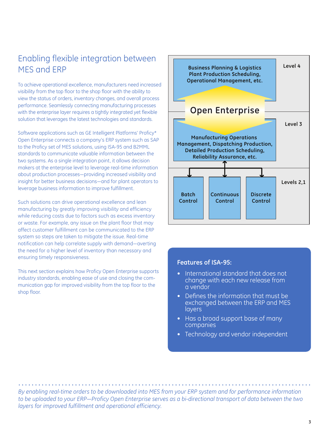# Enabling flexible integration between MES and ERP

To achieve operational excellence, manufacturers need increased visibility from the top floor to the shop floor with the ability to view the status of orders, inventory changes, and overall process performance. Seamlessly connecting manufacturing processes with the enterprise layer requires a tightly integrated yet flexible solution that leverages the latest technologies and standards.

Software applications such as GE Intelligent Platforms' Proficy\* Open Enterprise connects a company's ERP system such as SAP to the Proficy set of MES solutions, using ISA-95 and B2MML standards to communicate valuable information between the two systems. As a single integration point, it allows decision makers at the enterprise level to leverage real-time information about production processes—providing increased visibility and insight for better business decisions—and for plant operators to leverage business information to improve fulfillment.

Such solutions can drive operational excellence and lean manufacturing by greatly improving visibility and efficiency while reducing costs due to factors such as excess inventory or waste. For example, any issue on the plant floor that may affect customer fulfillment can be communicated to the ERP system so steps are taken to mitigate the issue. Real-time notification can help correlate supply with demand—averting the need for a higher level of inventory than necessary and ensuring timely responsiveness.

This next section explains how Proficy Open Enterprise supports industry standards, enabling ease of use and closing the communication gap for improved visibility from the top floor to the shop floor.



#### **Features of ISA-95:**

- International standard that does not change with each new release from a vendor
- • Defines the information that must be exchanged between the ERP and MES **layers**
- Has a broad support base of many companies
- Technology and vendor independent

*By enabling real-time orders to be downloaded into MES from your ERP system and for performance information to be uploaded to your ERP—Proficy Open Enterprise serves as a bi-directional transport of data between the two layers for improved fulfillment and operational efficiency.*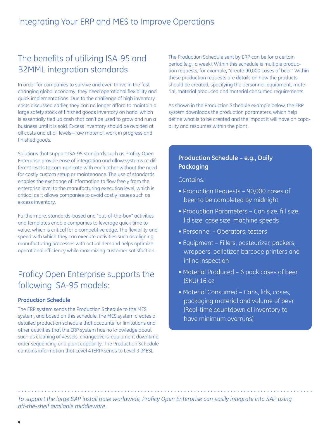# The benefits of utilizing ISA-95 and B2MML integration standards

In order for companies to survive and even thrive in the fast changing global economy, they need operational flexibility and quick implementations. Due to the challenge of high inventory costs discussed earlier, they can no longer afford to maintain a large safety stock of finished goods inventory on hand, which is essentially tied up cash that can't be used to grow and run a business until it is sold. Excess inventory should be avoided at all costs and at all levels—raw material, work in progress and finished goods.

Solutions that support ISA-95 standards such as Proficy Open Enterprise provide ease of integration and allow systems at different levels to communicate with each other without the need for costly custom setup or maintenance. The use of standards enables the exchange of information to flow freely from the enterprise level to the manufacturing execution level, which is critical as it allows companies to avoid costly issues such as excess inventory.

Furthermore, standards-based and "out-of-the-box" activities and templates enable companies to leverage quick time to value, which is critical for a competitive edge. The flexibility and speed with which they can execute activities such as aligning manufacturing processes with actual demand helps optimize operational efficiency while maximizing customer satisfaction.

# Proficy Open Enterprise supports the following ISA-95 models:

#### **Production Schedule**

The ERP system sends the Production Schedule to the MES system, and based on this schedule, the MES system creates a detailed production schedule that accounts for limitations and other activities that the ERP system has no knowledge about such as cleaning of vessels, changeovers, equipment downtime, order sequencing and plant capability. The Production Schedule contains information that Level 4 (ERP) sends to Level 3 (MES).

The Production Schedule sent by ERP can be for a certain period (e.g., a week). Within this schedule is multiple production requests, for example, "create 90,000 cases of beer." Within these production requests are details on how the products should be created, specifying the personnel, equipment, material, material produced and material consumed requirements.

As shown in the Production Schedule example below, the ERP system downloads the production parameters, which help define what is to be created and the impact it will have on capability and resources within the plant.

#### **Production Schedule – e.g., Daily Packaging**

Contains:

- Production Requests 90,000 cases of beer to be completed by midnight
- Production Parameters Can size, fill size, lid size, case size, machine speeds
- Personnel Operators, testers
- Equipment Fillers, pasteurizer, packers, wrappers, palletizer, barcode printers and inline inspection
- Material Produced 6 pack cases of beer (SKU) 16 oz
- Material Consumed Cans, lids, cases, packaging material and volume of beer (Real-time countdown of inventory to have minimum overruns)

*To support the large SAP install base worldwide, Proficy Open Enterprise can easily integrate into SAP using off-the-shelf available middleware.*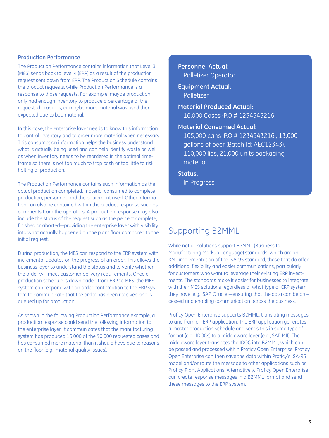#### **Production Performance**

The Production Performance contains information that Level 3 (MES) sends back to level 4 (ERP) as a result of the production request sent down from ERP. The Production Schedule contains the product requests, while Production Performance is a response to those requests. For example, maybe production only had enough inventory to produce a percentage of the requested products, or maybe more material was used than expected due to bad material.

In this case, the enterprise layer needs to know this information to control inventory and to order more material when necessary. This consumption information helps the business understand what is actually being used and can help identify waste as well as when inventory needs to be reordered in the optimal timeframe so there is not too much to trap cash or too little to risk halting of production.

The Production Performance contains such information as the actual production completed, material consumed to complete production, personnel, and the equipment used. Other information can also be contained within the product response such as comments from the operators. A production response may also include the status of the request such as the percent complete, finished or aborted—providing the enterprise layer with visibility into what actually happened on the plant floor compared to the initial request.

During production, the MES can respond to the ERP system with incremental updates on the progress of an order. This allows the business layer to understand the status and to verify whether the order will meet customer delivery requirements. Once a production schedule is downloaded from ERP to MES, the MES system can respond with an order confirmation to the ERP system to communicate that the order has been received and is queued up for production.

As shown in the following Production Performance example, a production response could send the following information to the enterprise layer. It communicates that the manufacturing system has produced 16,000 of the 90,000 requested cases and has consumed more material than it should have due to reasons on the floor (e.g., material quality issues).

**Personnel Actual:**  Palletizer Operator

**Equipment Actual:**  Palletizer

**Material Produced Actual:**  16,000 Cases (P.O # 1234543216)

**Material Consumed Actual:** 

105,000 cans (P.O # 1234543216), 13,000 gallons of beer (Batch Id: AEC12343), 110,000 lids, 21,000 units packaging material

**Status:** In Progress

## Supporting B2MML

While not all solutions support B2MML (Business to Manufacturing Markup Language) standards, which are an XML implementation of the ISA-95 standard, those that do offer additional flexibility and easier communications, particularly for customers who want to leverage their existing ERP investments. The standards make it easier for businesses to integrate with their MES solutions regardless of what type of ERP system they have (e.g., SAP, Oracle)—ensuring that the data can be processed and enabling communication across the business.

Proficy Open Enterprise supports B2MML, translating messages to and from an ERP application. The ERP application generates a master production schedule and sends this in some type of format (e.g., IDOCs) to a middleware layer (e.g., SAP MII). The middleware layer translates the IDOC into B2MML, which can be passed and processed within Proficy Open Enterprise. Proficy Open Enterprise can then save the data within Proficy's ISA-95 model and/or route the message to other applications such as Proficy Plant Applications. Alternatively, Proficy Open Enterprise can create response messages in a B2MML format and send these messages to the ERP system.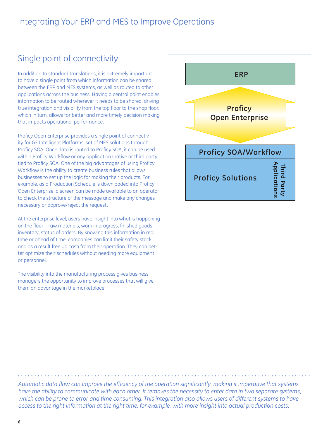# Single point of connectivity

In addition to standard translations, it is extremely important to have a single point from which information can be shared between the ERP and MES systems, as well as routed to other applications across the business. Having a central point enables information to be routed wherever it needs to be shared, driving true integration and visibility from the top floor to the shop floor, which in turn, allows for better and more timely decision making that impacts operational performance.

Proficy Open Enterprise provides a single point of connectivity for GE Intelligent Platforms' set of MES solutions through Proficy SOA. Once data is routed to Proficy SOA, it can be used within Proficy Workflow or any application (native or third party) tied to Proficy SOA. One of the big advantages of using Proficy Workflow is the ability to create business rules that allows businesses to set up the logic for making their products. For example, as a Production Schedule is downloaded into Proficy Open Enterprise, a screen can be made available to an operator to check the structure of the message and make any changes necessary or approve/reject the request.

At the enterprise level, users have insight into what is happening on the floor – raw materials, work in progress, finished goods inventory, status of orders. By knowing this information in real time or ahead of time, companies can limit their safety stock and as a result free up cash from their operation. They can better optimize their schedules without needing more equipment or personnel.

The visibility into the manufacturing process gives business managers the opportunity to improve processes that will give them an advantage in the marketplace.



*Automatic data flow can improve the efficiency of the operation significantly, making it imperative that systems have the ability to communicate with each other. It removes the necessity to enter data in two separate systems, which can be prone to error and time consuming. This integration also allows users of different systems to have access to the right information at the right time, for example, with more insight into actual production costs.*